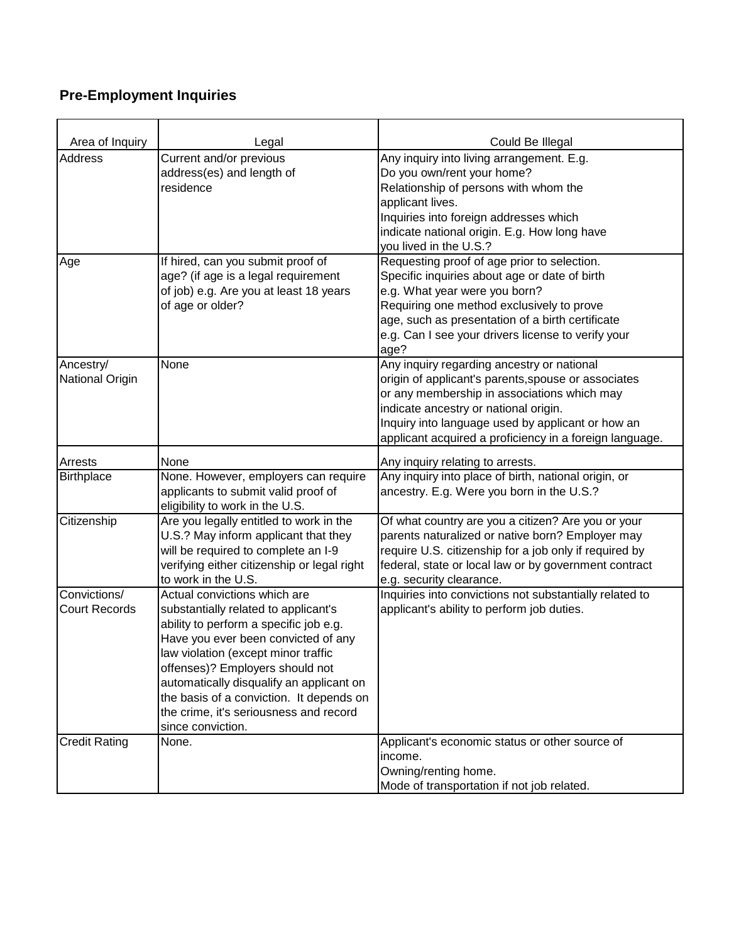## **Pre-Employment Inquiries**

| Area of Inquiry                      | Legal                                                                                                                                                                                                                                                                                                                                                                                  | Could Be Illegal                                                                                                                                                                                                                                                                                          |
|--------------------------------------|----------------------------------------------------------------------------------------------------------------------------------------------------------------------------------------------------------------------------------------------------------------------------------------------------------------------------------------------------------------------------------------|-----------------------------------------------------------------------------------------------------------------------------------------------------------------------------------------------------------------------------------------------------------------------------------------------------------|
| Address                              | Current and/or previous<br>address(es) and length of<br>residence                                                                                                                                                                                                                                                                                                                      | Any inquiry into living arrangement. E.g.<br>Do you own/rent your home?<br>Relationship of persons with whom the<br>applicant lives.<br>Inquiries into foreign addresses which<br>indicate national origin. E.g. How long have<br>you lived in the U.S.?                                                  |
| Age                                  | If hired, can you submit proof of<br>age? (if age is a legal requirement<br>of job) e.g. Are you at least 18 years<br>of age or older?                                                                                                                                                                                                                                                 | Requesting proof of age prior to selection.<br>Specific inquiries about age or date of birth<br>e.g. What year were you born?<br>Requiring one method exclusively to prove<br>age, such as presentation of a birth certificate<br>e.g. Can I see your drivers license to verify your<br>age?              |
| Ancestry/<br>National Origin         | None                                                                                                                                                                                                                                                                                                                                                                                   | Any inquiry regarding ancestry or national<br>origin of applicant's parents, spouse or associates<br>or any membership in associations which may<br>indicate ancestry or national origin.<br>Inquiry into language used by applicant or how an<br>applicant acquired a proficiency in a foreign language. |
| Arrests                              | None                                                                                                                                                                                                                                                                                                                                                                                   | Any inquiry relating to arrests.                                                                                                                                                                                                                                                                          |
| <b>Birthplace</b>                    | None. However, employers can require<br>applicants to submit valid proof of<br>eligibility to work in the U.S.                                                                                                                                                                                                                                                                         | Any inquiry into place of birth, national origin, or<br>ancestry. E.g. Were you born in the U.S.?                                                                                                                                                                                                         |
| Citizenship                          | Are you legally entitled to work in the<br>U.S.? May inform applicant that they<br>will be required to complete an I-9<br>verifying either citizenship or legal right<br>to work in the U.S.                                                                                                                                                                                           | Of what country are you a citizen? Are you or your<br>parents naturalized or native born? Employer may<br>require U.S. citizenship for a job only if required by<br>federal, state or local law or by government contract<br>e.g. security clearance.                                                     |
| Convictions/<br><b>Court Records</b> | Actual convictions which are<br>substantially related to applicant's<br>ability to perform a specific job e.g.<br>Have you ever been convicted of any<br>law violation (except minor traffic<br>offenses)? Employers should not<br>automatically disqualify an applicant on<br>the basis of a conviction. It depends on<br>the crime, it's seriousness and record<br>since conviction. | Inquiries into convictions not substantially related to<br>applicant's ability to perform job duties.                                                                                                                                                                                                     |
| <b>Credit Rating</b>                 | None.                                                                                                                                                                                                                                                                                                                                                                                  | Applicant's economic status or other source of<br>income.<br>Owning/renting home.<br>Mode of transportation if not job related.                                                                                                                                                                           |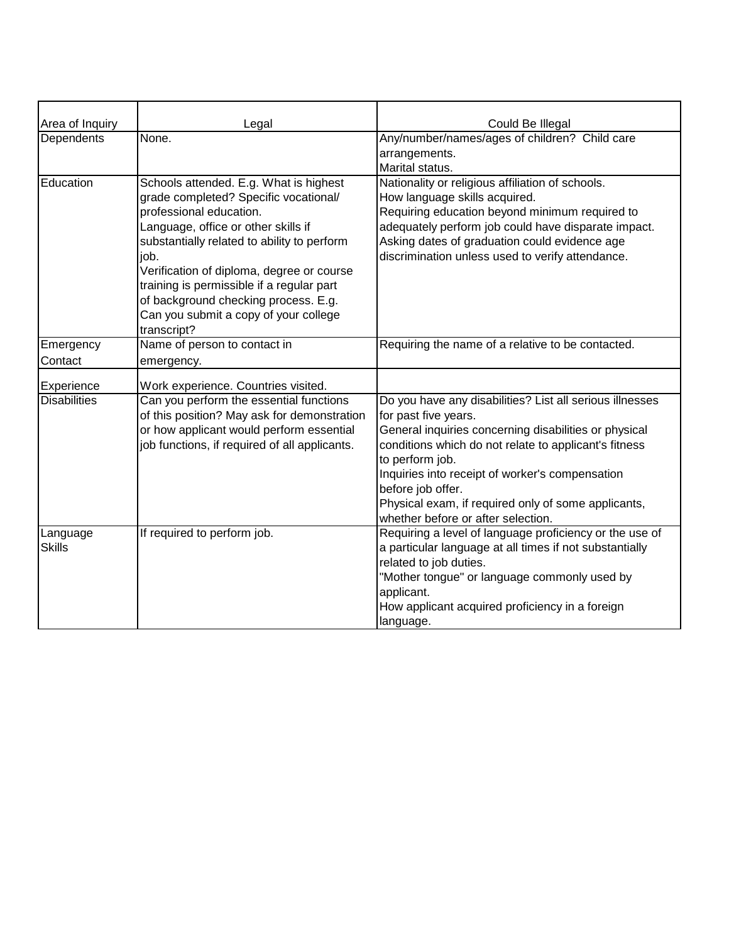| Area of Inquiry           | Legal                                                                                                                                                                                                                                                                                                                                                                                              | Could Be Illegal                                                                                                                                                                                                                                                                                                                                                                           |
|---------------------------|----------------------------------------------------------------------------------------------------------------------------------------------------------------------------------------------------------------------------------------------------------------------------------------------------------------------------------------------------------------------------------------------------|--------------------------------------------------------------------------------------------------------------------------------------------------------------------------------------------------------------------------------------------------------------------------------------------------------------------------------------------------------------------------------------------|
| Dependents                | None.                                                                                                                                                                                                                                                                                                                                                                                              | Any/number/names/ages of children? Child care<br>arrangements.<br>Marital status.                                                                                                                                                                                                                                                                                                          |
| Education                 | Schools attended. E.g. What is highest<br>grade completed? Specific vocational/<br>professional education.<br>Language, office or other skills if<br>substantially related to ability to perform<br>job.<br>Verification of diploma, degree or course<br>training is permissible if a regular part<br>of background checking process. E.g.<br>Can you submit a copy of your college<br>transcript? | Nationality or religious affiliation of schools.<br>How language skills acquired.<br>Requiring education beyond minimum required to<br>adequately perform job could have disparate impact.<br>Asking dates of graduation could evidence age<br>discrimination unless used to verify attendance.                                                                                            |
| Emergency                 | Name of person to contact in                                                                                                                                                                                                                                                                                                                                                                       | Requiring the name of a relative to be contacted.                                                                                                                                                                                                                                                                                                                                          |
| Contact                   | emergency.                                                                                                                                                                                                                                                                                                                                                                                         |                                                                                                                                                                                                                                                                                                                                                                                            |
| Experience                | Work experience. Countries visited.                                                                                                                                                                                                                                                                                                                                                                |                                                                                                                                                                                                                                                                                                                                                                                            |
| <b>Disabilities</b>       | Can you perform the essential functions<br>of this position? May ask for demonstration<br>or how applicant would perform essential<br>job functions, if required of all applicants.                                                                                                                                                                                                                | Do you have any disabilities? List all serious illnesses<br>for past five years.<br>General inquiries concerning disabilities or physical<br>conditions which do not relate to applicant's fitness<br>to perform job.<br>Inquiries into receipt of worker's compensation<br>before job offer.<br>Physical exam, if required only of some applicants,<br>whether before or after selection. |
| Language<br><b>Skills</b> | If required to perform job.                                                                                                                                                                                                                                                                                                                                                                        | Requiring a level of language proficiency or the use of<br>a particular language at all times if not substantially<br>related to job duties.<br>"Mother tongue" or language commonly used by<br>applicant.<br>How applicant acquired proficiency in a foreign<br>language.                                                                                                                 |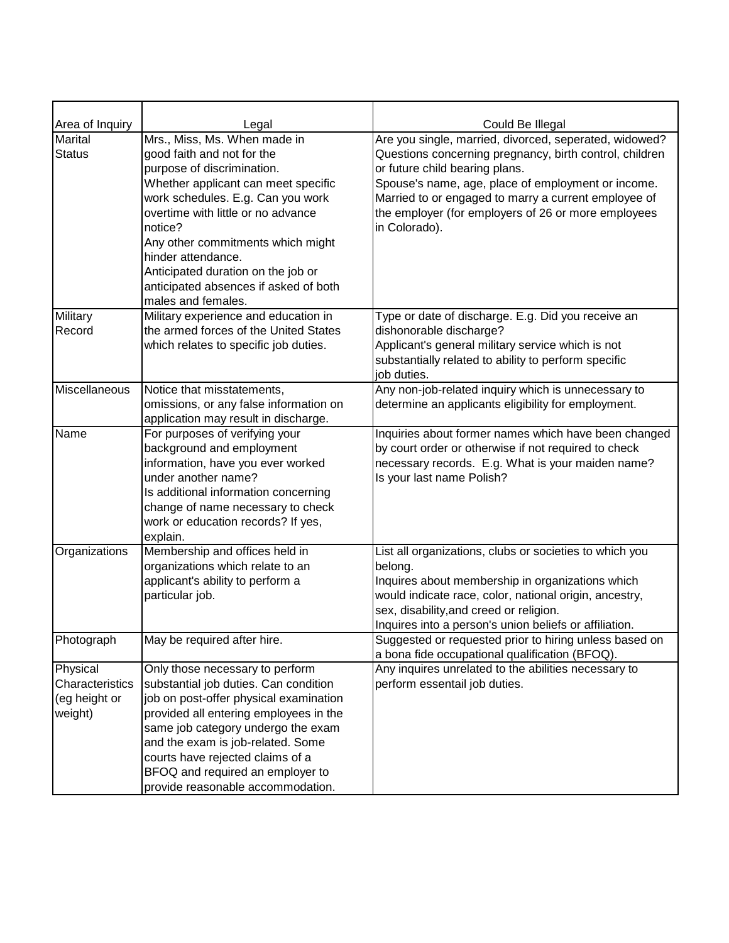| Area of Inquiry<br><b>Marital</b> | Legal<br>Mrs., Miss, Ms. When made in                       | Could Be Illegal<br>Are you single, married, divorced, seperated, widowed?                                   |
|-----------------------------------|-------------------------------------------------------------|--------------------------------------------------------------------------------------------------------------|
| <b>Status</b>                     | good faith and not for the                                  | Questions concerning pregnancy, birth control, children                                                      |
|                                   | purpose of discrimination.                                  | or future child bearing plans.                                                                               |
|                                   | Whether applicant can meet specific                         | Spouse's name, age, place of employment or income.                                                           |
|                                   | work schedules. E.g. Can you work                           | Married to or engaged to marry a current employee of                                                         |
|                                   | overtime with little or no advance                          | the employer (for employers of 26 or more employees                                                          |
|                                   | notice?                                                     | in Colorado).                                                                                                |
|                                   | Any other commitments which might                           |                                                                                                              |
|                                   | hinder attendance.                                          |                                                                                                              |
|                                   | Anticipated duration on the job or                          |                                                                                                              |
|                                   | anticipated absences if asked of both                       |                                                                                                              |
|                                   | males and females.                                          |                                                                                                              |
| Military                          | Military experience and education in                        | Type or date of discharge. E.g. Did you receive an                                                           |
| Record                            | the armed forces of the United States                       | dishonorable discharge?                                                                                      |
|                                   | which relates to specific job duties.                       | Applicant's general military service which is not                                                            |
|                                   |                                                             | substantially related to ability to perform specific                                                         |
|                                   |                                                             | job duties.                                                                                                  |
| Miscellaneous                     | Notice that misstatements,                                  | Any non-job-related inquiry which is unnecessary to                                                          |
|                                   | omissions, or any false information on                      | determine an applicants eligibility for employment.                                                          |
|                                   | application may result in discharge.                        |                                                                                                              |
| Name                              | For purposes of verifying your<br>background and employment | Inquiries about former names which have been changed<br>by court order or otherwise if not required to check |
|                                   | information, have you ever worked                           | necessary records. E.g. What is your maiden name?                                                            |
|                                   | under another name?                                         | Is your last name Polish?                                                                                    |
|                                   | Is additional information concerning                        |                                                                                                              |
|                                   | change of name necessary to check                           |                                                                                                              |
|                                   | work or education records? If yes,                          |                                                                                                              |
|                                   | explain.                                                    |                                                                                                              |
| Organizations                     | Membership and offices held in                              | List all organizations, clubs or societies to which you                                                      |
|                                   | organizations which relate to an                            | belong.                                                                                                      |
|                                   | applicant's ability to perform a                            | Inquires about membership in organizations which                                                             |
|                                   | particular job.                                             | would indicate race, color, national origin, ancestry,                                                       |
|                                   |                                                             | sex, disability, and creed or religion.                                                                      |
|                                   |                                                             | Inquires into a person's union beliefs or affiliation.                                                       |
| Photograph                        | May be required after hire.                                 | Suggested or requested prior to hiring unless based on                                                       |
|                                   |                                                             | a bona fide occupational qualification (BFOQ).                                                               |
| Physical                          | Only those necessary to perform                             | Any inquires unrelated to the abilities necessary to                                                         |
| Characteristics                   | substantial job duties. Can condition                       | perform essentail job duties.                                                                                |
| (eg height or                     | job on post-offer physical examination                      |                                                                                                              |
| weight)                           | provided all entering employees in the                      |                                                                                                              |
|                                   | same job category undergo the exam                          |                                                                                                              |
|                                   | and the exam is job-related. Some                           |                                                                                                              |
|                                   | courts have rejected claims of a                            |                                                                                                              |
|                                   | BFOQ and required an employer to                            |                                                                                                              |
|                                   | provide reasonable accommodation.                           |                                                                                                              |